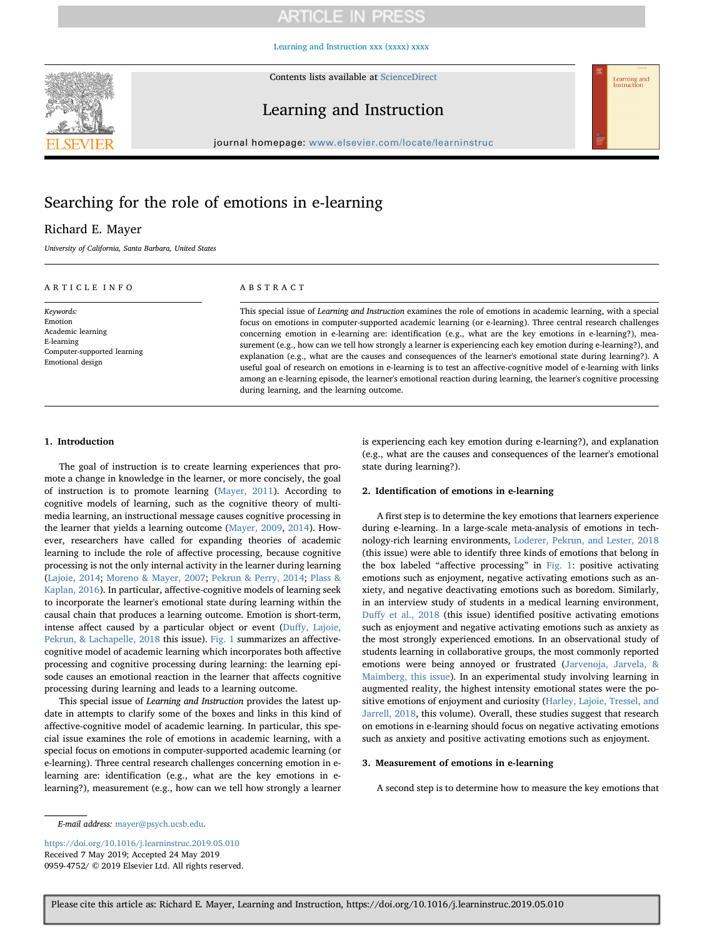# ARTICLE IN PRESS

[Learning and Instruction xxx \(xxxx\) xxxx](https://doi.org/10.1016/j.learninstruc.2019.05.010)

Contents lists available at [ScienceDirect](http://www.sciencedirect.com/science/journal/09594752)



## Learning and Instruction



journal homepage: [www.elsevier.com/locate/learninstruc](https://www.elsevier.com/locate/learninstruc)

# Searching for the role of emotions in e-learning

### Richard E. Mayer

University of California, Santa Barbara, United States

### ARTICLE INFO

Keywords: Emotion Academic learning E-learning Computer-supported learning Emotional design

### ABSTRACT

This special issue of Learning and Instruction examines the role of emotions in academic learning, with a special focus on emotions in computer-supported academic learning (or e-learning). Three central research challenges concerning emotion in e-learning are: identification (e.g., what are the key emotions in e-learning?), measurement (e.g., how can we tell how strongly a learner is experiencing each key emotion during e-learning?), and explanation (e.g., what are the causes and consequences of the learner's emotional state during learning?). A useful goal of research on emotions in e-learning is to test an affective-cognitive model of e-learning with links among an e-learning episode, the learner's emotional reaction during learning, the learner's cognitive processing during learning, and the learning outcome.

### 1. Introduction

The goal of instruction is to create learning experiences that promote a change in knowledge in the learner, or more concisely, the goal of instruction is to promote learning [\(Mayer, 2011](#page-2-0)). According to cognitive models of learning, such as the cognitive theory of multimedia learning, an instructional message causes cognitive processing in the learner that yields a learning outcome ([Mayer, 2009,](#page-2-1) [2014\)](#page-2-2). However, researchers have called for expanding theories of academic learning to include the role of affective processing, because cognitive processing is not the only internal activity in the learner during learning ([Lajoie, 2014;](#page-2-3) [Moreno & Mayer, 2007](#page-2-4); [Pekrun & Perry, 2014;](#page-2-5) [Plass &](#page-2-6) [Kaplan, 2016](#page-2-6)). In particular, affective-cognitive models of learning seek to incorporate the learner's emotional state during learning within the causal chain that produces a learning outcome. Emotion is short-term, intense affect caused by a particular object or event (Duff[y, Lajoie,](#page-1-0) [Pekrun, & Lachapelle, 2018](#page-1-0) this issue). [Fig. 1](#page-1-1) summarizes an affectivecognitive model of academic learning which incorporates both affective processing and cognitive processing during learning: the learning episode causes an emotional reaction in the learner that affects cognitive processing during learning and leads to a learning outcome.

This special issue of Learning and Instruction provides the latest update in attempts to clarify some of the boxes and links in this kind of affective-cognitive model of academic learning. In particular, this special issue examines the role of emotions in academic learning, with a special focus on emotions in computer-supported academic learning (or e-learning). Three central research challenges concerning emotion in elearning are: identification (e.g., what are the key emotions in elearning?), measurement (e.g., how can we tell how strongly a learner

is experiencing each key emotion during e-learning?), and explanation (e.g., what are the causes and consequences of the learner's emotional state during learning?).

### 2. Identification of emotions in e-learning

A first step is to determine the key emotions that learners experience during e-learning. In a large-scale meta-analysis of emotions in technology-rich learning environments, [Loderer, Pekrun, and Lester, 2018](#page-2-7) (this issue) were able to identify three kinds of emotions that belong in the box labeled "affective processing" in [Fig. 1](#page-1-1): positive activating emotions such as enjoyment, negative activating emotions such as anxiety, and negative deactivating emotions such as boredom. Similarly, in an interview study of students in a medical learning environment, Duff[y et al., 2018](#page-1-0) (this issue) identified positive activating emotions such as enjoyment and negative activating emotions such as anxiety as the most strongly experienced emotions. In an observational study of students learning in collaborative groups, the most commonly reported emotions were being annoyed or frustrated [\(Jarvenoja, Jarvela, &](#page-2-8) [Maimberg, this issue\)](#page-2-8). In an experimental study involving learning in augmented reality, the highest intensity emotional states were the positive emotions of enjoyment and curiosity ([Harley, Lajoie, Tressel, and](#page-2-9) [Jarrell, 2018,](#page-2-9) this volume). Overall, these studies suggest that research on emotions in e-learning should focus on negative activating emotions such as anxiety and positive activating emotions such as enjoyment.

#### 3. Measurement of emotions in e-learning

A second step is to determine how to measure the key emotions that

<https://doi.org/10.1016/j.learninstruc.2019.05.010> Received 7 May 2019; Accepted 24 May 2019 0959-4752/ © 2019 Elsevier Ltd. All rights reserved.

E-mail address: [mayer@psych.ucsb.edu](mailto:mayer@psych.ucsb.edu).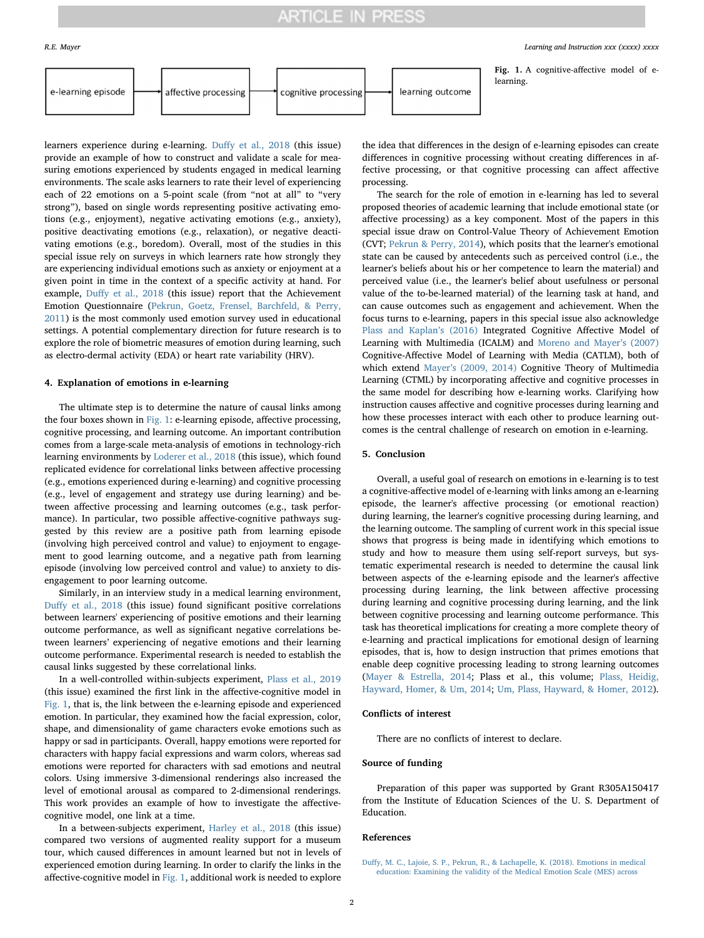## **ARTICLE IN PRESS**

<span id="page-1-1"></span>learning. e-learning episode learning outcome affective processing cognitive processing

learners experience during e-learning. Duff[y et al., 2018](#page-1-0) (this issue) provide an example of how to construct and validate a scale for measuring emotions experienced by students engaged in medical learning environments. The scale asks learners to rate their level of experiencing each of 22 emotions on a 5-point scale (from "not at all" to "very strong"), based on single words representing positive activating emotions (e.g., enjoyment), negative activating emotions (e.g., anxiety), positive deactivating emotions (e.g., relaxation), or negative deactivating emotions (e.g., boredom). Overall, most of the studies in this special issue rely on surveys in which learners rate how strongly they are experiencing individual emotions such as anxiety or enjoyment at a given point in time in the context of a specific activity at hand. For example, Duff[y et al., 2018](#page-1-0) (this issue) report that the Achievement Emotion Questionnaire [\(Pekrun, Goetz, Frensel, Barchfeld, & Perry,](#page-2-10) [2011\)](#page-2-10) is the most commonly used emotion survey used in educational settings. A potential complementary direction for future research is to explore the role of biometric measures of emotion during learning, such as electro-dermal activity (EDA) or heart rate variability (HRV).

#### 4. Explanation of emotions in e-learning

The ultimate step is to determine the nature of causal links among the four boxes shown in [Fig. 1:](#page-1-1) e-learning episode, affective processing, cognitive processing, and learning outcome. An important contribution comes from a large-scale meta-analysis of emotions in technology-rich learning environments by [Loderer et al., 2018](#page-2-7) (this issue), which found replicated evidence for correlational links between affective processing (e.g., emotions experienced during e-learning) and cognitive processing (e.g., level of engagement and strategy use during learning) and between affective processing and learning outcomes (e.g., task performance). In particular, two possible affective-cognitive pathways suggested by this review are a positive path from learning episode (involving high perceived control and value) to enjoyment to engagement to good learning outcome, and a negative path from learning episode (involving low perceived control and value) to anxiety to disengagement to poor learning outcome.

Similarly, in an interview study in a medical learning environment, Duff[y et al., 2018](#page-1-0) (this issue) found significant positive correlations between learners' experiencing of positive emotions and their learning outcome performance, as well as significant negative correlations between learners' experiencing of negative emotions and their learning outcome performance. Experimental research is needed to establish the causal links suggested by these correlational links.

In a well-controlled within-subjects experiment, [Plass et al., 2019](#page-2-11) (this issue) examined the first link in the affective-cognitive model in [Fig. 1,](#page-1-1) that is, the link between the e-learning episode and experienced emotion. In particular, they examined how the facial expression, color, shape, and dimensionality of game characters evoke emotions such as happy or sad in participants. Overall, happy emotions were reported for characters with happy facial expressions and warm colors, whereas sad emotions were reported for characters with sad emotions and neutral colors. Using immersive 3-dimensional renderings also increased the level of emotional arousal as compared to 2-dimensional renderings. This work provides an example of how to investigate the affectivecognitive model, one link at a time.

In a between-subjects experiment, Harley [et al., 2018](#page-2-9) (this issue) compared two versions of augmented reality support for a museum tour, which caused differences in amount learned but not in levels of experienced emotion during learning. In order to clarify the links in the affective-cognitive model in [Fig. 1,](#page-1-1) additional work is needed to explore

R.E. Mayer *Learning and Instruction xxx (xxxx) xxxx*

Fig. 1. A cognitive-affective model of e-

the idea that differences in the design of e-learning episodes can create differences in cognitive processing without creating differences in affective processing, or that cognitive processing can affect affective processing.

The search for the role of emotion in e-learning has led to several proposed theories of academic learning that include emotional state (or affective processing) as a key component. Most of the papers in this special issue draw on Control-Value Theory of Achievement Emotion (CVT; [Pekrun & Perry, 2014](#page-2-5)), which posits that the learner's emotional state can be caused by antecedents such as perceived control (i.e., the learner's beliefs about his or her competence to learn the material) and perceived value (i.e., the learner's belief about usefulness or personal value of the to-be-learned material) of the learning task at hand, and can cause outcomes such as engagement and achievement. When the focus turns to e-learning, papers in this special issue also acknowledge [Plass and Kaplan](#page-2-6)'s (2016) Integrated Cognitive Affective Model of Learning with Multimedia (ICALM) and [Moreno and Mayer](#page-2-4)'s (2007) Cognitive-Affective Model of Learning with Media (CATLM), both of which extend Mayer'[s \(2009, 2014\)](#page-2-1) Cognitive Theory of Multimedia Learning (CTML) by incorporating affective and cognitive processes in the same model for describing how e-learning works. Clarifying how instruction causes affective and cognitive processes during learning and how these processes interact with each other to produce learning outcomes is the central challenge of research on emotion in e-learning.

### 5. Conclusion

Overall, a useful goal of research on emotions in e-learning is to test a cognitive-affective model of e-learning with links among an e-learning episode, the learner's affective processing (or emotional reaction) during learning, the learner's cognitive processing during learning, and the learning outcome. The sampling of current work in this special issue shows that progress is being made in identifying which emotions to study and how to measure them using self-report surveys, but systematic experimental research is needed to determine the causal link between aspects of the e-learning episode and the learner's affective processing during learning, the link between affective processing during learning and cognitive processing during learning, and the link between cognitive processing and learning outcome performance. This task has theoretical implications for creating a more complete theory of e-learning and practical implications for emotional design of learning episodes, that is, how to design instruction that primes emotions that enable deep cognitive processing leading to strong learning outcomes ([Mayer & Estrella, 2014](#page-2-12); Plass et al., this volume; [Plass, Heidig,](#page-2-13) [Hayward, Homer, & Um, 2014;](#page-2-13) [Um, Plass, Hayward, & Homer, 2012](#page-2-14)).

### Conflicts of interest

There are no conflicts of interest to declare.

### Source of funding

Preparation of this paper was supported by Grant R305A150417 from the Institute of Education Sciences of the U. S. Department of Education.

### References

<span id="page-1-0"></span>Duff[y, M. C., Lajoie, S. P., Pekrun, R., & Lachapelle, K. \(2018\). Emotions in medical](http://refhub.elsevier.com/S0959-4752(19)30324-X/sref1) [education: Examining the validity of the Medical Emotion Scale \(MES\) across](http://refhub.elsevier.com/S0959-4752(19)30324-X/sref1)